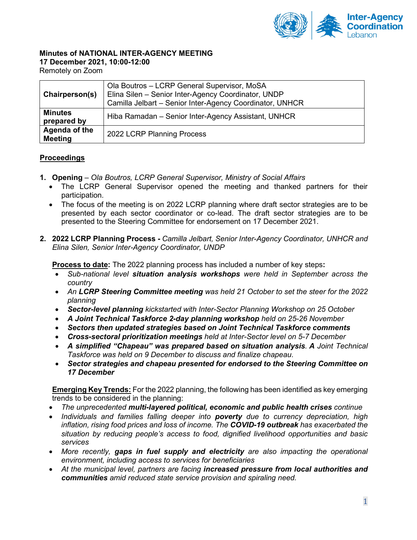

## **Minutes of NATIONAL INTER-AGENCY MEETING**

#### **17 December 2021, 10:00-12:00**

Remotely on Zoom

| Chairperson(s)                  | Ola Boutros - LCRP General Supervisor, MoSA<br>Elina Silen - Senior Inter-Agency Coordinator, UNDP<br>Camilla Jelbart - Senior Inter-Agency Coordinator, UNHCR |
|---------------------------------|----------------------------------------------------------------------------------------------------------------------------------------------------------------|
| <b>Minutes</b><br>prepared by   | Hiba Ramadan - Senior Inter-Agency Assistant, UNHCR                                                                                                            |
| Agenda of the<br><b>Meeting</b> | 2022 LCRP Planning Process                                                                                                                                     |

#### **Proceedings**

- **1. Opening** *– Ola Boutros, LCRP General Supervisor, Ministry of Social Affairs*
	- The LCRP General Supervisor opened the meeting and thanked partners for their participation.
	- The focus of the meeting is on 2022 LCRP planning where draft sector strategies are to be presented by each sector coordinator or co-lead. The draft sector strategies are to be presented to the Steering Committee for endorsement on 17 December 2021.
- **2. 2022 LCRP Planning Process -** *Camilla Jelbart, Senior Inter-Agency Coordinator, UNHCR and Elina Silen, Senior Inter-Agency Coordinator, UNDP*

**Process to date:** The 2022 planning process has included a number of key steps**:** 

- *Sub-national level situation analysis workshops were held in September across the country*
- *An LCRP Steering Committee meeting was held 21 October to set the steer for the 2022 planning*
- *Sector-level planning kickstarted with Inter-Sector Planning Workshop on 25 October*
- *A Joint Technical Taskforce 2-day planning workshop held on 25-26 November*
- *Sectors then updated strategies based on Joint Technical Taskforce comments*
- *Cross-sectoral prioritization meetings held at Inter-Sector level on 5-7 December*
- *A simplified "Chapeau" was prepared based on situation analysis. A Joint Technical Taskforce was held on 9 December to discuss and finalize chapeau*.
- *Sector strategies and chapeau presented for endorsed to the Steering Committee on 17 December*

**Emerging Key Trends:** For the 2022 planning, the following has been identified as key emerging trends to be considered in the planning:

- *The unprecedented multi-layered political, economic and public health crises continue*
- *Individuals and families falling deeper into poverty due to currency depreciation, high inflation, rising food prices and loss of income. The COVID-19 outbreak has exacerbated the situation by reducing people's access to food, dignified livelihood opportunities and basic services*
- *More recently, gaps in fuel supply and electricity are also impacting the operational environment, including access to services for beneficiaries*
- *At the municipal level, partners are facing increased pressure from local authorities and communities amid reduced state service provision and spiraling need.*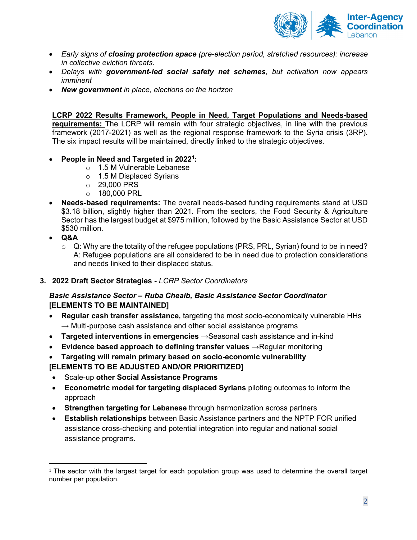

- *Early signs of closing protection space (pre-election period, stretched resources): increase in collective eviction threats.*
- *Delays with government-led social safety net schemes, but activation now appears imminent*
- *New government in place, elections on the horizon*

#### **LCRP 2022 Results Framework, People in Need, Target Populations and Needs-based**

**requirements:** The LCRP will remain with four strategic objectives, in line with the previous framework (2017-2021) as well as the regional response framework to the Syria crisis (3RP). The six impact results will be maintained, directly linked to the strategic objectives.

- **People in Need and Targeted in 2022[1](#page-1-0) :**
	- o 1.5 M Vulnerable Lebanese
	- o 1.5 M Displaced Syrians
	- o 29,000 PRS
	- o 180,000 PRL
- **Needs-based requirements:** The overall needs-based funding requirements stand at USD \$3.18 billion, slightly higher than 2021. From the sectors, the Food Security & Agriculture Sector has the largest budget at \$975 million, followed by the Basic Assistance Sector at USD \$530 million.
- **Q&A**
	- $\circ$  Q: Why are the totality of the refugee populations (PRS, PRL, Syrian) found to be in need? A: Refugee populations are all considered to be in need due to protection considerations and needs linked to their displaced status.

#### **3. 2022 Draft Sector Strategies -** *LCRP Sector Coordinators*

### *Basic Assistance Sector – Ruba Cheaib, Basic Assistance Sector Coordinator*  **[ELEMENTS TO BE MAINTAINED]**

- **Regular cash transfer assistance,** targeting the most socio-economically vulnerable HHs  $\rightarrow$  Multi-purpose cash assistance and other social assistance programs
- **Targeted interventions in emergencies** →Seasonal cash assistance and in-kind
- **Evidence based approach to defining transfer values** → Regular monitoring
- **Targeting will remain primary based on socio-economic vulnerability**

### **[ELEMENTS TO BE ADJUSTED AND/OR PRIORITIZED]**

- Scale-up **other Social Assistance Programs**
- **Econometric model for targeting displaced Syrians** piloting outcomes to inform the approach
- **Strengthen targeting for Lebanese** through harmonization across partners
- **Establish relationships** between Basic Assistance partners and the NPTP FOR unified assistance cross-checking and potential integration into regular and national social assistance programs.

<span id="page-1-0"></span> $1$  The sector with the largest target for each population group was used to determine the overall target number per population.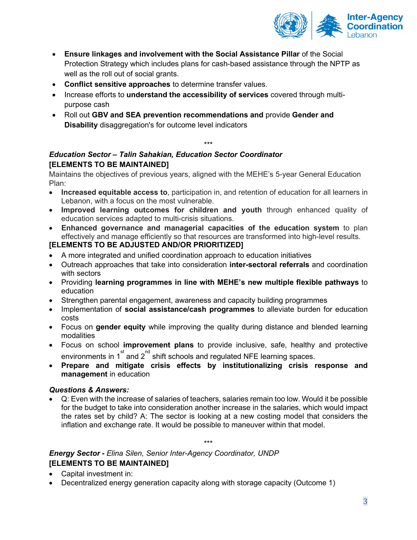

- **Ensure linkages and involvement with the Social Assistance Pillar** of the Social Protection Strategy which includes plans for cash-based assistance through the NPTP as well as the roll out of social grants.
- **Conflict sensitive approaches** to determine transfer values.
- Increase efforts to **understand the accessibility of services** covered through multipurpose cash
- Roll out **GBV and SEA prevention recommendations and** provide **Gender and Disability** disaggregation's for outcome level indicators

## *Education Sector – Talin Sahakian, Education Sector Coordinator*  **[ELEMENTS TO BE MAINTAINED]**

Maintains the objectives of previous years, aligned with the MEHE's 5-year General Education Plan:

\*\*\*

- **Increased equitable access to**, participation in, and retention of education for all learners in Lebanon, with a focus on the most vulnerable.
- **Improved learning outcomes for children and youth** through enhanced quality of education services adapted to multi-crisis situations.
- **Enhanced governance and managerial capacities of the education system** to plan effectively and manage efficiently so that resources are transformed into high-level results.

# **[ELEMENTS TO BE ADJUSTED AND/OR PRIORITIZED]**

- A more integrated and unified coordination approach to education initiatives
- Outreach approaches that take into consideration **inter-sectoral referrals** and coordination with sectors
- Providing **learning programmes in line with MEHE's new multiple flexible pathways** to education
- Strengthen parental engagement, awareness and capacity building programmes
- Implementation of **social assistance/cash programmes** to alleviate burden for education costs
- Focus on **gender equity** while improving the quality during distance and blended learning modalities
- Focus on school **improvement plans** to provide inclusive, safe, healthy and protective environments in 1 $\mathrm{^{st}}$  and 2 $\mathrm{^{nd}}$  shift schools and regulated NFE learning spaces.
- **Prepare and mitigate crisis effects by institutionalizing crisis response and management** in education

#### *Questions & Answers:*

• Q: Even with the increase of salaries of teachers, salaries remain too low. Would it be possible for the budget to take into consideration another increase in the salaries, which would impact the rates set by child? A: The sector is looking at a new costing model that considers the inflation and exchange rate. It would be possible to maneuver within that model.

\*\*\*

*Energy Sector - Elina Silen, Senior Inter-Agency Coordinator, UNDP* **[ELEMENTS TO BE MAINTAINED]** 

- Capital investment in:
- Decentralized energy generation capacity along with storage capacity (Outcome 1)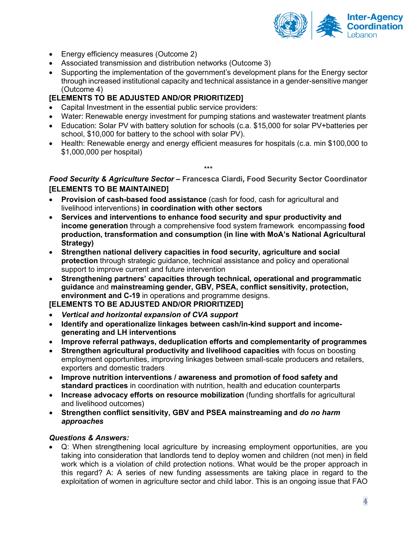

- Energy efficiency measures (Outcome 2)
- Associated transmission and distribution networks (Outcome 3)
- Supporting the implementation of the government's development plans for the Energy sector through increased institutional capacity and technical assistance in a gender-sensitive manger (Outcome 4)

#### **[ELEMENTS TO BE ADJUSTED AND/OR PRIORITIZED]**

- Capital Investment in the essential public service providers:
- Water: Renewable energy investment for pumping stations and wastewater treatment plants
- Education: Solar PV with battery solution for schools (c.a. \$15,000 for solar PV+batteries per school, \$10,000 for battery to the school with solar PV).
- Health: Renewable energy and energy efficient measures for hospitals (c.a. min \$100,000 to \$1,000,000 per hospital)

*Food Security & Agriculture Sector –* **Francesca Ciardi***,* **Food Security Sector Coordinator [ELEMENTS TO BE MAINTAINED]** 

\*\*\*

- **Provision of cash-based food assistance** (cash for food, cash for agricultural and livelihood interventions) **in coordination with other sectors**
- **Services and interventions to enhance food security and spur productivity and income generation** through a comprehensive food system framework encompassing **food production, transformation and consumption (in line with MoA's National Agricultural Strategy)**
- **Strengthen national delivery capacities in food security, agriculture and social protection** through strategic guidance, technical assistance and policy and operational support to improve current and future intervention
- **Strengthening partners' capacities through technical, operational and programmatic guidance** and **mainstreaming gender, GBV, PSEA, conflict sensitivity, protection, environment and C-19** in operations and programme designs.

**[ELEMENTS TO BE ADJUSTED AND/OR PRIORITIZED]** 

- *Vertical and horizontal expansion of CVA support*
- **Identify and operationalize linkages between cash/in-kind support and incomegenerating and LH interventions**
- **Improve referral pathways, deduplication efforts and complementarity of programmes**
- **Strengthen agricultural productivity and livelihood capacities** with focus on boosting employment opportunities, improving linkages between small-scale producers and retailers, exporters and domestic traders
- **Improve nutrition interventions / awareness and promotion of food safety and standard practices** in coordination with nutrition, health and education counterparts
- **Increase advocacy efforts on resource mobilization** (funding shortfalls for agricultural and livelihood outcomes)
- **Strengthen conflict sensitivity, GBV and PSEA mainstreaming and** *do no harm approaches*

#### *Questions & Answers:*

• Q: When strengthening local agriculture by increasing employment opportunities, are you taking into consideration that landlords tend to deploy women and children (not men) in field work which is a violation of child protection notions. What would be the proper approach in this regard? A: A series of new funding assessments are taking place in regard to the exploitation of women in agriculture sector and child labor. This is an ongoing issue that FAO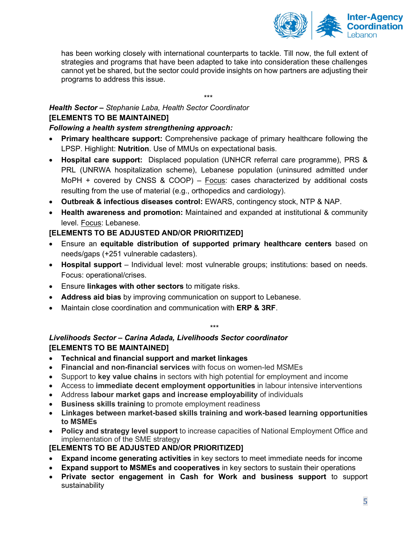

has been working closely with international counterparts to tackle. Till now, the full extent of strategies and programs that have been adapted to take into consideration these challenges cannot yet be shared, but the sector could provide insights on how partners are adjusting their programs to address this issue.

# *Health Sector – Stephanie Laba, Health Sector Coordinator* **[ELEMENTS TO BE MAINTAINED]**

### *Following a health system strengthening approach:*

• **Primary healthcare support:** Comprehensive package of primary healthcare following the LPSP. Highlight: **Nutrition**. Use of MMUs on expectational basis.

\*\*\*

- **Hospital care support:** Displaced population (UNHCR referral care programme), PRS & PRL (UNRWA hospitalization scheme), Lebanese population (uninsured admitted under MoPH + covered by CNSS & COOP) – Focus: cases characterized by additional costs resulting from the use of material (e.g., orthopedics and cardiology).
- **Outbreak & infectious diseases control:** EWARS, contingency stock, NTP & NAP.
- **Health awareness and promotion:** Maintained and expanded at institutional & community level. Focus: Lebanese.

#### **[ELEMENTS TO BE ADJUSTED AND/OR PRIORITIZED]**

- Ensure an **equitable distribution of supported primary healthcare centers** based on needs/gaps (+251 vulnerable cadasters).
- **Hospital support**  Individual level: most vulnerable groups; institutions: based on needs. Focus: operational/crises.
- Ensure **linkages with other sectors** to mitigate risks.
- **Address aid bias** by improving communication on support to Lebanese.
- Maintain close coordination and communication with **ERP & 3RF**.

# \*\*\*

## *Livelihoods Sector – Carina Adada, Livelihoods Sector coordinator*  **[ELEMENTS TO BE MAINTAINED]**

- **Technical and financial support and market linkages**
- **Financial and non-financial services** with focus on women-led MSMEs
- Support to **key value chains** in sectors with high potential for employment and income
- Access to **immediate decent employment opportunities** in labour intensive interventions
- Address **labour market gaps and increase employability** of individuals
- **Business skills training** to promote employment readiness
- **Linkages between market-based skills training and work-based learning opportunities to MSMEs**
- **Policy and strategy level support** to increase capacities of National Employment Office and implementation of the SME strategy

### **[ELEMENTS TO BE ADJUSTED AND/OR PRIORITIZED]**

- **Expand income generating activities** in key sectors to meet immediate needs for income
- **Expand support to MSMEs and cooperatives** in key sectors to sustain their operations
- **Private sector engagement in Cash for Work and business support** to support sustainability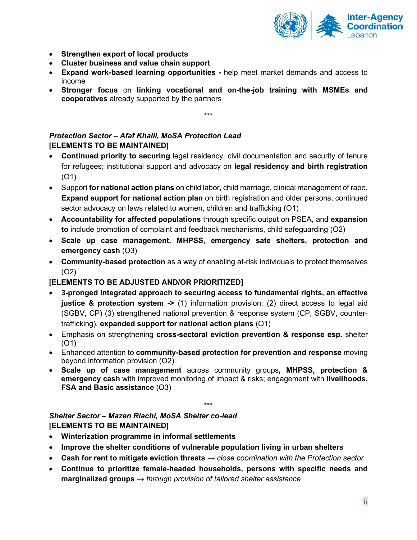

- **Strengthen export of local products**
- **Cluster business and value chain support**
- **Expand work-based learning opportunities -** help meet market demands and access to income
- **Stronger focus** on **linking vocational and on-the-job training with MSMEs and cooperatives** already supported by the partners

\*\*\*

# *Protection Sector – Afaf Khalil, MoSA Protection Lead*  **[ELEMENTS TO BE MAINTAINED]**

- **Continued priority to securing** legal residency, civil documentation and security of tenure for refugees; institutional support and advocacy on **legal residency and birth registration** (O1)
- Support **for national action plans** on child labor, child marriage, clinical management of rape. **Expand support for national action plan** on birth registration and older persons, continued sector advocacy on laws related to women, children and trafficking (O1)
- **Accountability for affected populations** through specific output on PSEA, and **expansion to** include promotion of complaint and feedback mechanisms, child safeguarding (O2)
- **Scale up case management, MHPSS, emergency safe shelters, protection and emergency cash** (O3)
- **Community-based protection** as a way of enabling at-risk individuals to protect themselves (O2)

### **[ELEMENTS TO BE ADJUSTED AND/OR PRIORITIZED]**

- **3-pronged integrated approach to securing access to fundamental rights, an effective justice & protection system ->** (1) information provision; (2) direct access to legal aid (SGBV, CP) (3) strengthened national prevention & response system (CP, SGBV, countertrafficking), **expanded support for national action plans** (O1)
- Emphasis on strengthening **cross-sectoral eviction prevention & response esp.** shelter (O1)
- Enhanced attention to **community-based protection for prevention and response** moving beyond information provision (O2)
- **Scale up of case management** across community groups**, MHPSS, protection & emergency cash** with improved monitoring of impact & risks; engagement with **livelihoods, FSA and Basic assistance** (O3)

\*\*\*

### *Shelter Sector – Mazen Riachi, MoSA Shelter co-lead*  **[ELEMENTS TO BE MAINTAINED]**

- **Winterization programme in informal settlements**
- **Improve the shelter conditions of vulnerable population living in urban shelters**
- **Cash for rent to mitigate eviction threats** → *close coordination with the Protection sector*
- **Continue to prioritize female-headed households, persons with specific needs and marginalized groups** *→ through provision of tailored shelter assistance*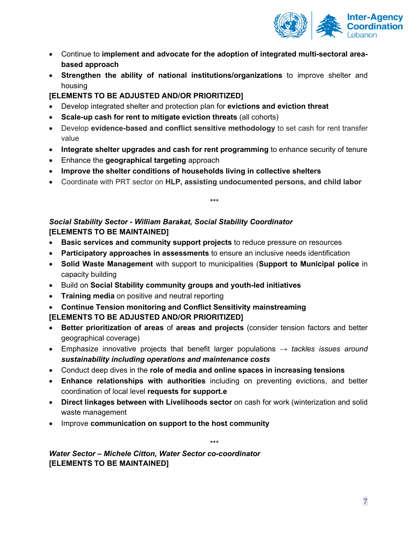

- Continue to **implement and advocate for the adoption of integrated multi-sectoral areabased approach**
- **Strengthen the ability of national institutions/organizations** to improve shelter and housing

### **[ELEMENTS TO BE ADJUSTED AND/OR PRIORITIZED]**

- Develop integrated shelter and protection plan for **evictions and eviction threat**
- **Scale-up cash for rent to mitigate eviction threats** (all cohorts)
- Develop **evidence-based and conflict sensitive methodology** to set cash for rent transfer value
- **Integrate shelter upgrades and cash for rent programming** to enhance security of tenure
- Enhance the **geographical targeting** approach
- **Improve the shelter conditions of households living in collective shelters**
- Coordinate with PRT sector on **HLP, assisting undocumented persons, and child labor**

\*\*\*

# *Social Stability Sector - William Barakat, Social Stability Coordinator*  **[ELEMENTS TO BE MAINTAINED]**

- **Basic services and community support projects** to reduce pressure on resources
- **Participatory approaches in assessments** to ensure an inclusive needs identification
- **Solid Waste Management** with support to municipalities (**Support to Municipal police** in capacity building
- Build on **Social Stability community groups and youth-led initiatives**
- **Training media** on positive and neutral reporting
- **Continue Tension monitoring and Conflict Sensitivity mainstreaming**

# **[ELEMENTS TO BE ADJUSTED AND/OR PRIORITIZED]**

- **Better prioritization of areas** of **areas and projects** (consider tension factors and better geographical coverage)
- Emphasize innovative projects that benefit larger populations *→ tackles issues around sustainability including operations and maintenance costs*
- Conduct deep dives in the **role of media and online spaces in increasing tensions**
- **Enhance relationships with authorities** including on preventing evictions, and better coordination of local level **requests for support.e**
- **Direct linkages between with Livelihoods sector** on cash for work (winterization and solid waste management
- Improve **communication on support to the host community**

\*\*\* *Water Sector – Michele Citton, Water Sector co-coordinator*  **[ELEMENTS TO BE MAINTAINED]**